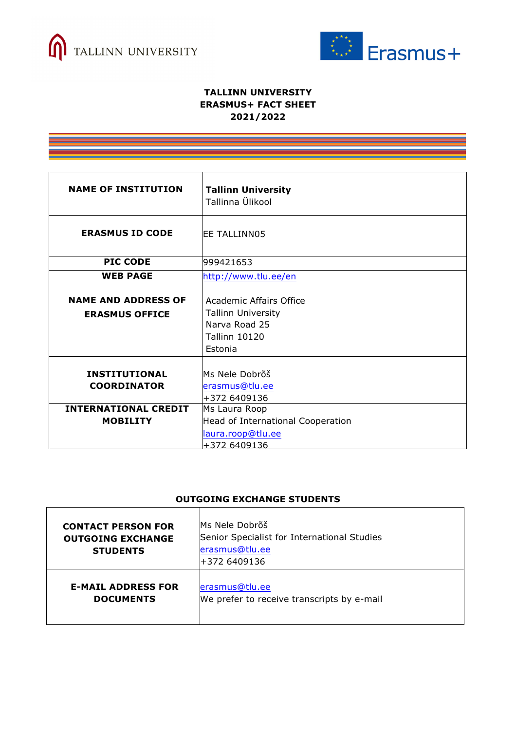



## **TALLINN UNIVERSITY ERASMUS+ FACT SHEET 2021/2022**

| <b>NAME OF INSTITUTION</b>                                                | <b>Tallinn University</b><br>Tallinna Ülikool                                                            |
|---------------------------------------------------------------------------|----------------------------------------------------------------------------------------------------------|
| <b>ERASMUS ID CODE</b>                                                    | <b>EE TALLINN05</b>                                                                                      |
| <b>PIC CODE</b>                                                           | 999421653                                                                                                |
| <b>WEB PAGE</b>                                                           | http://www.tlu.ee/en                                                                                     |
| <b>NAME AND ADDRESS OF</b><br><b>ERASMUS OFFICE</b>                       | Academic Affairs Office<br><b>Tallinn University</b><br>Narva Road 25<br><b>Tallinn 10120</b><br>Estonia |
| <b>INSTITUTIONAL</b><br><b>COORDINATOR</b><br><b>INTERNATIONAL CREDIT</b> | Ms Nele Dobrõš<br>erasmus@tlu.ee<br>+372 6409136<br>Ms Laura Roop                                        |
| <b>MOBILITY</b>                                                           | Head of International Cooperation<br>laura.roop@tlu.ee<br>+372 6409136                                   |

## **OUTGOING EXCHANGE STUDENTS**

| <b>CONTACT PERSON FOR</b><br><b>OUTGOING EXCHANGE</b><br><b>STUDENTS</b> | Ms Nele Dobrõš<br>Senior Specialist for International Studies<br>erasmus@tlu.ee<br>+372 6409136 |
|--------------------------------------------------------------------------|-------------------------------------------------------------------------------------------------|
| <b>E-MAIL ADDRESS FOR</b>                                                | erasmus@tlu.ee                                                                                  |
| <b>DOCUMENTS</b>                                                         | We prefer to receive transcripts by e-mail                                                      |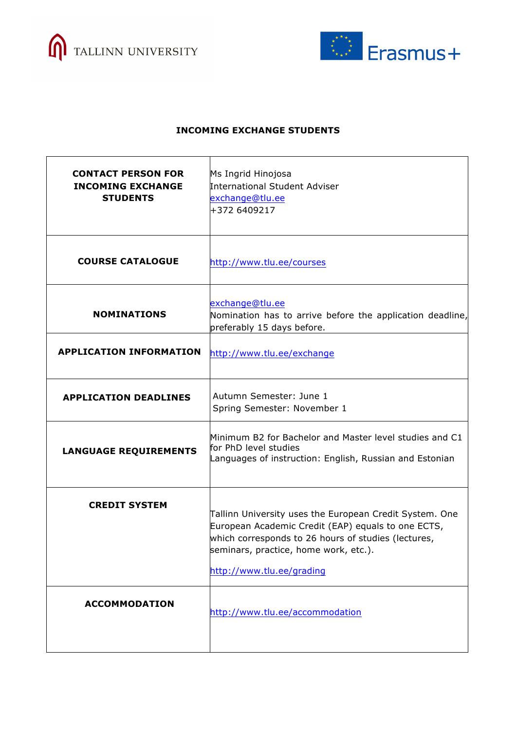



## **INCOMING EXCHANGE STUDENTS**

| <b>CONTACT PERSON FOR</b><br><b>INCOMING EXCHANGE</b><br><b>STUDENTS</b> | Ms Ingrid Hinojosa<br>International Student Adviser<br>exchange@tlu.ee<br>+372 6409217                                                                                                                                                     |
|--------------------------------------------------------------------------|--------------------------------------------------------------------------------------------------------------------------------------------------------------------------------------------------------------------------------------------|
| <b>COURSE CATALOGUE</b>                                                  | http://www.tlu.ee/courses                                                                                                                                                                                                                  |
| <b>NOMINATIONS</b>                                                       | exchange@tlu.ee<br>Nomination has to arrive before the application deadline,<br>preferably 15 days before.                                                                                                                                 |
| <b>APPLICATION INFORMATION</b>                                           | http://www.tlu.ee/exchange                                                                                                                                                                                                                 |
| <b>APPLICATION DEADLINES</b>                                             | Autumn Semester: June 1<br>Spring Semester: November 1                                                                                                                                                                                     |
| <b>LANGUAGE REQUIREMENTS</b>                                             | Minimum B2 for Bachelor and Master level studies and C1<br>for PhD level studies<br>Languages of instruction: English, Russian and Estonian                                                                                                |
| <b>CREDIT SYSTEM</b>                                                     | Tallinn University uses the European Credit System. One<br>European Academic Credit (EAP) equals to one ECTS,<br>which corresponds to 26 hours of studies (lectures,<br>seminars, practice, home work, etc.).<br>http://www.tlu.ee/grading |
| <b>ACCOMMODATION</b>                                                     | http://www.tlu.ee/accommodation                                                                                                                                                                                                            |